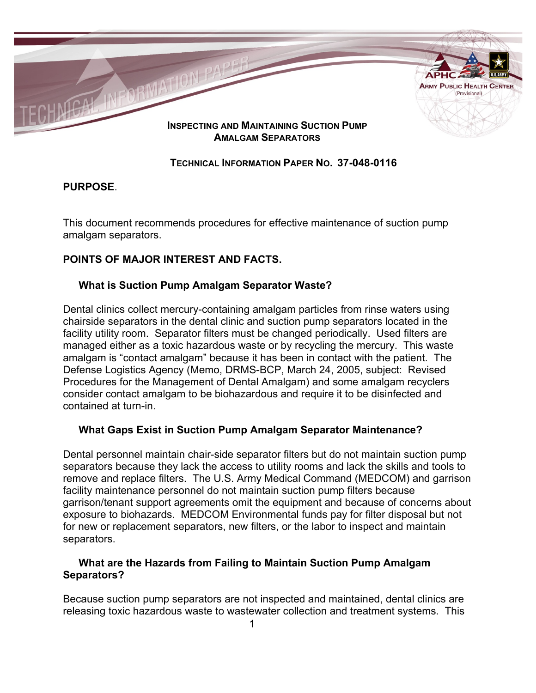

## **TECHNICAL INFORMATION PAPER NO. 37-048-0116**

### **PURPOSE**.

This document recommends procedures for effective maintenance of suction pump amalgam separators.

# **POINTS OF MAJOR INTEREST AND FACTS.**

## **What is Suction Pump Amalgam Separator Waste?**

Dental clinics collect mercury-containing amalgam particles from rinse waters using chairside separators in the dental clinic and suction pump separators located in the facility utility room. Separator filters must be changed periodically. Used filters are managed either as a toxic hazardous waste or by recycling the mercury. This waste amalgam is "contact amalgam" because it has been in contact with the patient. The Defense Logistics Agency (Memo, DRMS-BCP, March 24, 2005, subject: Revised Procedures for the Management of Dental Amalgam) and some amalgam recyclers consider contact amalgam to be biohazardous and require it to be disinfected and contained at turn-in.

### **What Gaps Exist in Suction Pump Amalgam Separator Maintenance?**

Dental personnel maintain chair-side separator filters but do not maintain suction pump separators because they lack the access to utility rooms and lack the skills and tools to remove and replace filters. The U.S. Army Medical Command (MEDCOM) and garrison facility maintenance personnel do not maintain suction pump filters because garrison/tenant support agreements omit the equipment and because of concerns about exposure to biohazards. MEDCOM Environmental funds pay for filter disposal but not for new or replacement separators, new filters, or the labor to inspect and maintain separators.

## **What are the Hazards from Failing to Maintain Suction Pump Amalgam Separators?**

Because suction pump separators are not inspected and maintained, dental clinics are releasing toxic hazardous waste to wastewater collection and treatment systems. This